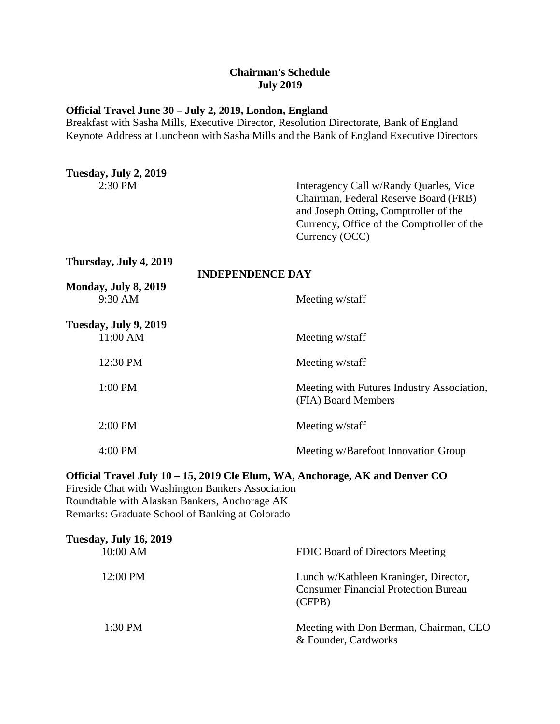## **Chairman's Schedule July 2019**

## **Official Travel June 30 – July 2, 2019, London, England**

Breakfast with Sasha Mills, Executive Director, Resolution Directorate, Bank of England Keynote Address at Luncheon with Sasha Mills and the Bank of England Executive Directors

| Tuesday, July 2, 2019               |                                                                                                                                                                                          |
|-------------------------------------|------------------------------------------------------------------------------------------------------------------------------------------------------------------------------------------|
| 2:30 PM                             | Interagency Call w/Randy Quarles, Vice<br>Chairman, Federal Reserve Board (FRB)<br>and Joseph Otting, Comptroller of the<br>Currency, Office of the Comptroller of the<br>Currency (OCC) |
| Thursday, July 4, 2019              | <b>INDEPENDENCE DAY</b>                                                                                                                                                                  |
| Monday, July 8, 2019<br>9:30 AM     | Meeting w/staff                                                                                                                                                                          |
| Tuesday, July 9, 2019<br>$11:00$ AM | Meeting w/staff                                                                                                                                                                          |
| 12:30 PM                            | Meeting w/staff                                                                                                                                                                          |
| 1:00 PM                             | Meeting with Futures Industry Association,<br>(FIA) Board Members                                                                                                                        |
| 2:00 PM                             | Meeting w/staff                                                                                                                                                                          |
| 4:00 PM                             | Meeting w/Barefoot Innovation Group                                                                                                                                                      |
|                                     |                                                                                                                                                                                          |

**Official Travel July 10 – 15, 2019 Cle Elum, WA, Anchorage, AK and Denver CO** Fireside Chat with Washington Bankers Association Roundtable with Alaskan Bankers, Anchorage AK

Remarks: Graduate School of Banking at Colorado

| <b>Tuesday, July 16, 2019</b> |                                                                                                |
|-------------------------------|------------------------------------------------------------------------------------------------|
| 10:00 AM                      | FDIC Board of Directors Meeting                                                                |
| 12:00 PM                      | Lunch w/Kathleen Kraninger, Director,<br><b>Consumer Financial Protection Bureau</b><br>(CFPB) |
| $1:30$ PM                     | Meeting with Don Berman, Chairman, CEO<br>& Founder, Cardworks                                 |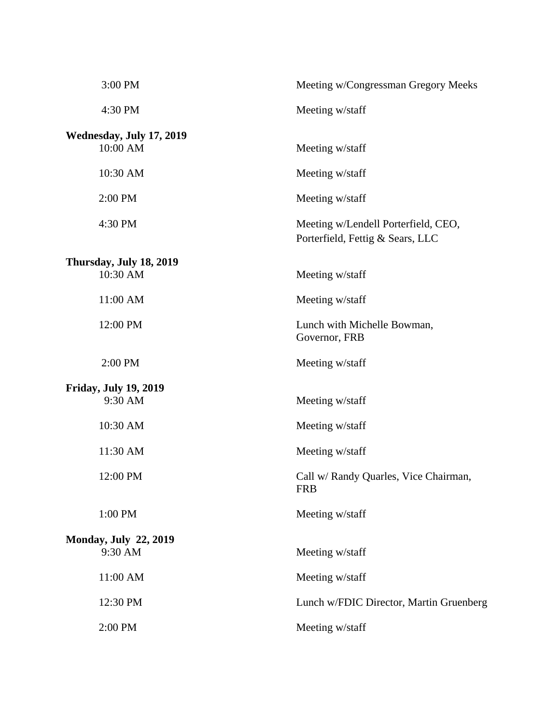| 3:00 PM                                 | Meeting w/Congressman Gregory Meeks                                     |
|-----------------------------------------|-------------------------------------------------------------------------|
| 4:30 PM                                 | Meeting w/staff                                                         |
| Wednesday, July 17, 2019<br>10:00 AM    | Meeting w/staff                                                         |
| 10:30 AM                                | Meeting w/staff                                                         |
| 2:00 PM                                 | Meeting w/staff                                                         |
| 4:30 PM                                 | Meeting w/Lendell Porterfield, CEO,<br>Porterfield, Fettig & Sears, LLC |
| Thursday, July 18, 2019                 |                                                                         |
| 10:30 AM                                | Meeting w/staff                                                         |
| 11:00 AM                                | Meeting w/staff                                                         |
| 12:00 PM                                | Lunch with Michelle Bowman,<br>Governor, FRB                            |
| 2:00 PM                                 | Meeting w/staff                                                         |
| <b>Friday, July 19, 2019</b><br>9:30 AM | Meeting w/staff                                                         |
| 10:30 AM                                | Meeting w/staff                                                         |
| 11:30 AM                                | Meeting w/staff                                                         |
| 12:00 PM                                | Call w/ Randy Quarles, Vice Chairman,<br><b>FRB</b>                     |
| 1:00 PM                                 | Meeting w/staff                                                         |
| <b>Monday, July 22, 2019</b>            |                                                                         |
| 9:30 AM                                 | Meeting w/staff                                                         |
| 11:00 AM                                | Meeting w/staff                                                         |
| 12:30 PM                                | Lunch w/FDIC Director, Martin Gruenberg                                 |
| 2:00 PM                                 | Meeting w/staff                                                         |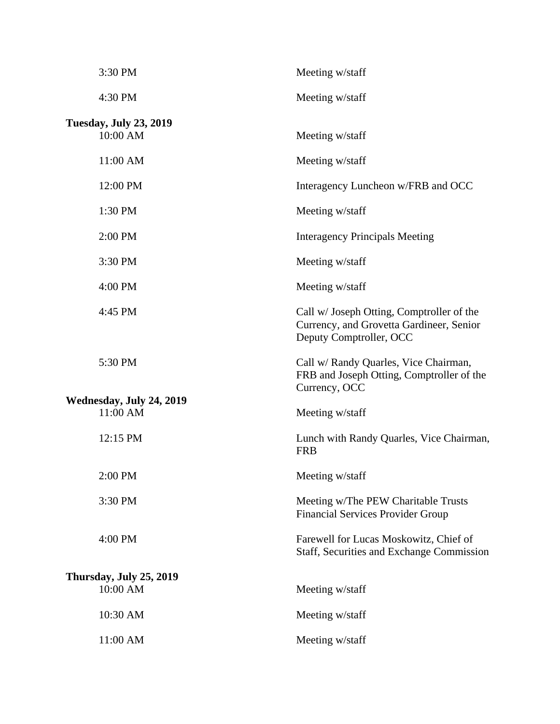|                         | 3:30 PM                                   | Meeting w/staff                                                                                                  |
|-------------------------|-------------------------------------------|------------------------------------------------------------------------------------------------------------------|
|                         | 4:30 PM                                   | Meeting w/staff                                                                                                  |
|                         | <b>Tuesday, July 23, 2019</b><br>10:00 AM | Meeting w/staff                                                                                                  |
|                         | 11:00 AM                                  | Meeting w/staff                                                                                                  |
|                         | 12:00 PM                                  | Interagency Luncheon w/FRB and OCC                                                                               |
|                         | 1:30 PM                                   | Meeting w/staff                                                                                                  |
|                         | 2:00 PM                                   | <b>Interagency Principals Meeting</b>                                                                            |
|                         | 3:30 PM                                   | Meeting w/staff                                                                                                  |
|                         | 4:00 PM                                   | Meeting w/staff                                                                                                  |
|                         | 4:45 PM                                   | Call w/ Joseph Otting, Comptroller of the<br>Currency, and Grovetta Gardineer, Senior<br>Deputy Comptroller, OCC |
|                         | 5:30 PM                                   | Call w/ Randy Quarles, Vice Chairman,<br>FRB and Joseph Otting, Comptroller of the<br>Currency, OCC              |
|                         | Wednesday, July 24, 2019<br>11:00 AM      | Meeting w/staff                                                                                                  |
|                         | 12:15 PM                                  | Lunch with Randy Quarles, Vice Chairman,<br><b>FRB</b>                                                           |
|                         | 2:00 PM                                   | Meeting w/staff                                                                                                  |
|                         | 3:30 PM                                   | Meeting w/The PEW Charitable Trusts<br><b>Financial Services Provider Group</b>                                  |
|                         | 4:00 PM                                   | Farewell for Lucas Moskowitz, Chief of<br>Staff, Securities and Exchange Commission                              |
| Thursday, July 25, 2019 |                                           |                                                                                                                  |
|                         | 10:00 AM                                  | Meeting w/staff                                                                                                  |
|                         | 10:30 AM                                  | Meeting w/staff                                                                                                  |
|                         | 11:00 AM                                  | Meeting w/staff                                                                                                  |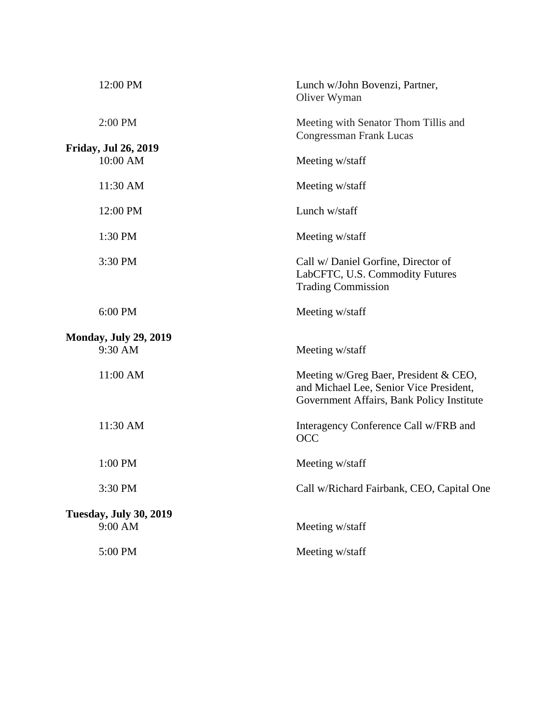| 12:00 PM                                 | Lunch w/John Bovenzi, Partner,<br>Oliver Wyman                                                                                |
|------------------------------------------|-------------------------------------------------------------------------------------------------------------------------------|
| 2:00 PM                                  | Meeting with Senator Thom Tillis and<br>Congressman Frank Lucas                                                               |
| <b>Friday, Jul 26, 2019</b><br>10:00 AM  | Meeting w/staff                                                                                                               |
| 11:30 AM                                 | Meeting w/staff                                                                                                               |
| 12:00 PM                                 | Lunch w/staff                                                                                                                 |
| 1:30 PM                                  | Meeting w/staff                                                                                                               |
| 3:30 PM                                  | Call w/ Daniel Gorfine, Director of<br>LabCFTC, U.S. Commodity Futures<br><b>Trading Commission</b>                           |
| 6:00 PM                                  | Meeting w/staff                                                                                                               |
| <b>Monday, July 29, 2019</b><br>9:30 AM  | Meeting w/staff                                                                                                               |
| 11:00 AM                                 | Meeting w/Greg Baer, President & CEO,<br>and Michael Lee, Senior Vice President,<br>Government Affairs, Bank Policy Institute |
| 11:30 AM                                 | Interagency Conference Call w/FRB and<br><b>OCC</b>                                                                           |
| 1:00 PM                                  | Meeting w/staff                                                                                                               |
| 3:30 PM                                  | Call w/Richard Fairbank, CEO, Capital One                                                                                     |
| <b>Tuesday, July 30, 2019</b><br>9:00 AM | Meeting w/staff                                                                                                               |
| 5:00 PM                                  | Meeting w/staff                                                                                                               |